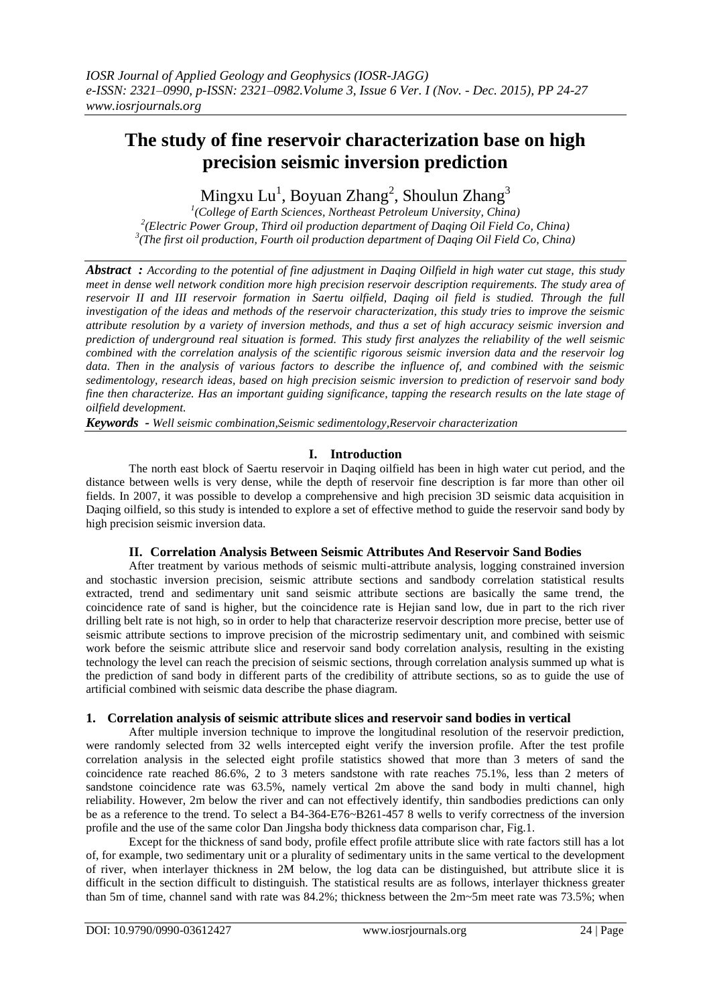# **The study of fine reservoir characterization base on high precision seismic inversion prediction**

Mingxu Lu $^{\rm l}$ , Boyuan Zhang $^{\rm 2}$ , Shoulun Zhang $^{\rm 3}$ 

*1 (College of Earth Sciences, Northeast Petroleum University, China) 2 (Electric Power Group, Third oil production department of Daqing Oil Field Co, China) 3 (The first oil production, Fourth oil production department of Daqing Oil Field Co, China)*

*Abstract : According to the potential of fine adjustment in Daqing Oilfield in high water cut stage, this study meet in dense well network condition more high precision reservoir description requirements. The study area of reservoir II and III reservoir formation in Saertu oilfield, Daqing oil field is studied. Through the full investigation of the ideas and methods of the reservoir characterization, this study tries to improve the seismic attribute resolution by a variety of inversion methods, and thus a set of high accuracy seismic inversion and prediction of underground real situation is formed. This study first analyzes the reliability of the well seismic combined with the correlation analysis of the scientific rigorous seismic inversion data and the reservoir log data. Then in the analysis of various factors to describe the influence of, and combined with the seismic sedimentology, research ideas, based on high precision seismic inversion to prediction of reservoir sand body fine then characterize. Has an important guiding significance, tapping the research results on the late stage of oilfield development.*

*Keywords - Well seismic combination,Seismic sedimentology,Reservoir characterization*

### **I. Introduction**

The north east block of Saertu reservoir in Daqing oilfield has been in high water cut period, and the distance between wells is very dense, while the depth of reservoir fine description is far more than other oil fields. In 2007, it was possible to develop a comprehensive and high precision 3D seismic data acquisition in Daqing oilfield, so this study is intended to explore a set of effective method to guide the reservoir sand body by high precision seismic inversion data.

#### **II. Correlation Analysis Between Seismic Attributes And Reservoir Sand Bodies**

After treatment by various methods of seismic multi-attribute analysis, logging constrained inversion and stochastic inversion precision, seismic attribute sections and sandbody correlation statistical results extracted, trend and sedimentary unit sand seismic attribute sections are basically the same trend, the coincidence rate of sand is higher, but the coincidence rate is Hejian sand low, due in part to the rich river drilling belt rate is not high, so in order to help that characterize reservoir description more precise, better use of seismic attribute sections to improve precision of the microstrip sedimentary unit, and combined with seismic work before the seismic attribute slice and reservoir sand body correlation analysis, resulting in the existing technology the level can reach the precision of seismic sections, through correlation analysis summed up what is the prediction of sand body in different parts of the credibility of attribute sections, so as to guide the use of artificial combined with seismic data describe the phase diagram.

#### **1. Correlation analysis of seismic attribute slices and reservoir sand bodies in vertical**

After multiple inversion technique to improve the longitudinal resolution of the reservoir prediction, were randomly selected from 32 wells intercepted eight verify the inversion profile. After the test profile correlation analysis in the selected eight profile statistics showed that more than 3 meters of sand the coincidence rate reached 86.6%, 2 to 3 meters sandstone with rate reaches 75.1%, less than 2 meters of sandstone coincidence rate was  $63.5\%$ , namely vertical 2m above the sand body in multi channel, high reliability. However, 2m below the river and can not effectively identify, thin sandbodies predictions can only be as a reference to the trend. To select a B4-364-E76~B261-457 8 wells to verify correctness of the inversion profile and the use of the same color Dan Jingsha body thickness data comparison char, Fig.1.

Except for the thickness of sand body, profile effect profile attribute slice with rate factors still has a lot of, for example, two sedimentary unit or a plurality of sedimentary units in the same vertical to the development of river, when interlayer thickness in 2M below, the log data can be distinguished, but attribute slice it is difficult in the section difficult to distinguish. The statistical results are as follows, interlayer thickness greater than 5m of time, channel sand with rate was 84.2%; thickness between the 2m~5m meet rate was 73.5%; when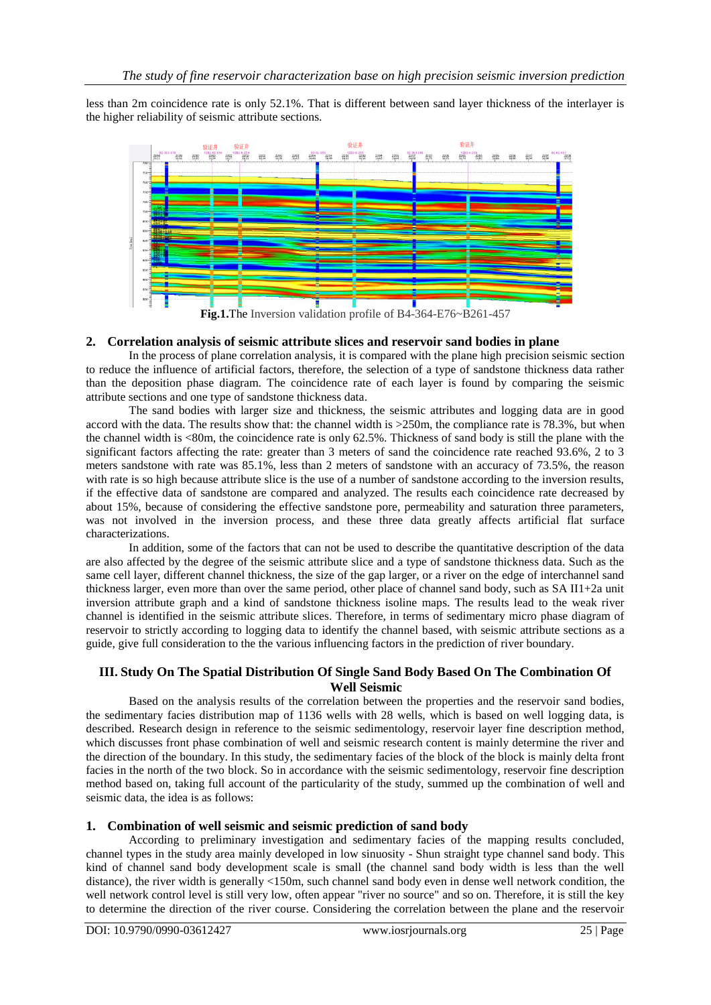less than 2m coincidence rate is only 52.1%. That is different between sand layer thickness of the interlayer is the higher reliability of seismic attribute sections.



### **2. Correlation analysis of seismic attribute slices and reservoir sand bodies in plane**

In the process of plane correlation analysis, it is compared with the plane high precision seismic section to reduce the influence of artificial factors, therefore, the selection of a type of sandstone thickness data rather than the deposition phase diagram. The coincidence rate of each layer is found by comparing the seismic attribute sections and one type of sandstone thickness data.

The sand bodies with larger size and thickness, the seismic attributes and logging data are in good accord with the data. The results show that: the channel width is >250m, the compliance rate is 78.3%, but when the channel width is <80m, the coincidence rate is only 62.5%. Thickness of sand body is still the plane with the significant factors affecting the rate: greater than 3 meters of sand the coincidence rate reached 93.6%, 2 to 3 meters sandstone with rate was 85.1%, less than 2 meters of sandstone with an accuracy of 73.5%, the reason with rate is so high because attribute slice is the use of a number of sandstone according to the inversion results, if the effective data of sandstone are compared and analyzed. The results each coincidence rate decreased by about 15%, because of considering the effective sandstone pore, permeability and saturation three parameters, was not involved in the inversion process, and these three data greatly affects artificial flat surface characterizations.

In addition, some of the factors that can not be used to describe the quantitative description of the data are also affected by the degree of the seismic attribute slice and a type of sandstone thickness data. Such as the same cell layer, different channel thickness, the size of the gap larger, or a river on the edge of interchannel sand thickness larger, even more than over the same period, other place of channel sand body, such as SA II1+2a unit inversion attribute graph and a kind of sandstone thickness isoline maps. The results lead to the weak river channel is identified in the seismic attribute slices. Therefore, in terms of sedimentary micro phase diagram of reservoir to strictly according to logging data to identify the channel based, with seismic attribute sections as a guide, give full consideration to the the various influencing factors in the prediction of river boundary.

### **III. Study On The Spatial Distribution Of Single Sand Body Based On The Combination Of Well Seismic**

Based on the analysis results of the correlation between the properties and the reservoir sand bodies, the sedimentary facies distribution map of 1136 wells with 28 wells, which is based on well logging data, is described. Research design in reference to the seismic sedimentology, reservoir layer fine description method, which discusses front phase combination of well and seismic research content is mainly determine the river and the direction of the boundary. In this study, the sedimentary facies of the block of the block is mainly delta front facies in the north of the two block. So in accordance with the seismic sedimentology, reservoir fine description method based on, taking full account of the particularity of the study, summed up the combination of well and seismic data, the idea is as follows:

## **1. Combination of well seismic and seismic prediction of sand body**

According to preliminary investigation and sedimentary facies of the mapping results concluded, channel types in the study area mainly developed in low sinuosity - Shun straight type channel sand body. This kind of channel sand body development scale is small (the channel sand body width is less than the well distance), the river width is generally <150m, such channel sand body even in dense well network condition, the well network control level is still very low, often appear "river no source" and so on. Therefore, it is still the key to determine the direction of the river course. Considering the correlation between the plane and the reservoir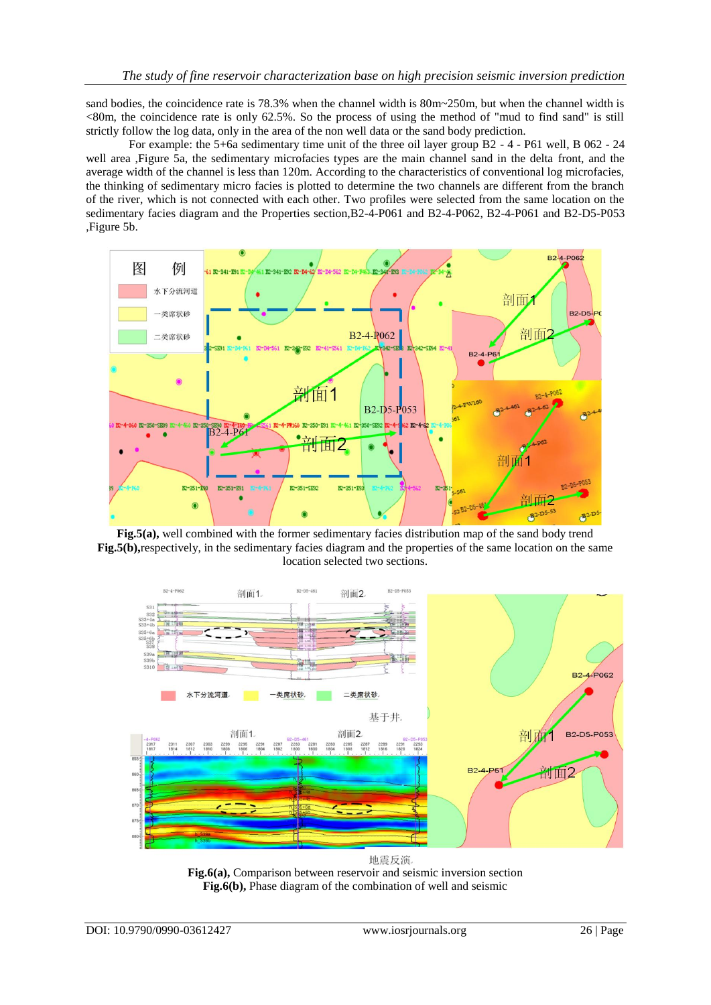sand bodies, the coincidence rate is 78.3% when the channel width is 80m~250m, but when the channel width is  $\leq$ 80m, the coincidence rate is only 62.5%. So the process of using the method of "mud to find sand" is still strictly follow the log data, only in the area of the non well data or the sand body prediction.

For example: the 5+6a sedimentary time unit of the three oil layer group B2 - 4 - P61 well, B 062 - 24 well area ,Figure 5a, the sedimentary microfacies types are the main channel sand in the delta front, and the average width of the channel is less than 120m. According to the characteristics of conventional log microfacies, the thinking of sedimentary micro facies is plotted to determine the two channels are different from the branch of the river, which is not connected with each other. Two profiles were selected from the same location on the sedimentary facies diagram and the Properties section,B2-4-P061 and B2-4-P062, B2-4-P061 and B2-D5-P053 ,Figure 5b.



**Fig.5(a),** well combined with the former sedimentary facies distribution map of the sand body trend **Fig.5(b),**respectively, in the sedimentary facies diagram and the properties of the same location on the same location selected two sections.